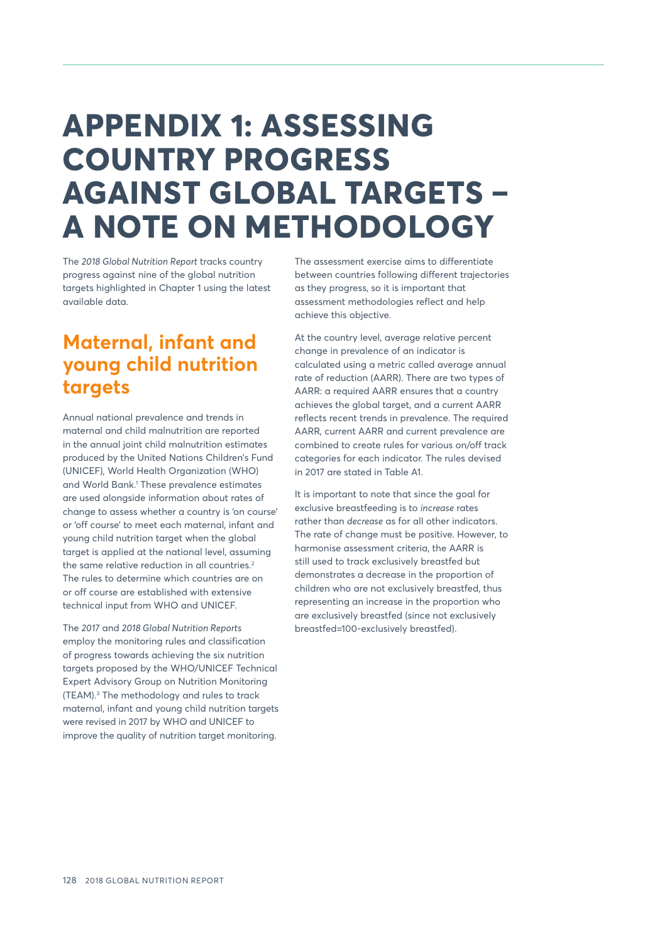## **APPENDIX 1: ASSESSING COUNTRY PROGRESS AGAINST GLOBAL TARGETS – A NOTE ON METHODOLOGY**

The *2018 Global Nutrition Report* tracks country progress against nine of the global nutrition targets highlighted in Chapter 1 using the latest available data.

#### **Maternal, infant and young child nutrition targets**

Annual national prevalence and trends in maternal and child malnutrition are reported in the annual joint child malnutrition estimates produced by the United Nations Children's Fund (UNICEF), World Health Organization (WHO) and World Bank.1 These prevalence estimates are used alongside information about rates of change to assess whether a country is 'on course' or 'off course' to meet each maternal, infant and young child nutrition target when the global target is applied at the national level, assuming the same relative reduction in all countries.<sup>2</sup> The rules to determine which countries are on or off course are established with extensive technical input from WHO and UNICEF.

The *2017* and *2018 Global Nutrition Reports* employ the monitoring rules and classification of progress towards achieving the six nutrition targets proposed by the WHO/UNICEF Technical Expert Advisory Group on Nutrition Monitoring (TEAM).3 The methodology and rules to track maternal, infant and young child nutrition targets were revised in 2017 by WHO and UNICEF to improve the quality of nutrition target monitoring.

The assessment exercise aims to differentiate between countries following different trajectories as they progress, so it is important that assessment methodologies reflect and help achieve this objective.

At the country level, average relative percent change in prevalence of an indicator is calculated using a metric called average annual rate of reduction (AARR). There are two types of AARR: a required AARR ensures that a country achieves the global target, and a current AARR reflects recent trends in prevalence. The required AARR, current AARR and current prevalence are combined to create rules for various on/off track categories for each indicator. The rules devised in 2017 are stated in Table A1.

It is important to note that since the goal for exclusive breastfeeding is to *increase* rates rather than *decrease* as for all other indicators. The rate of change must be positive. However, to harmonise assessment criteria, the AARR is still used to track exclusively breastfed but demonstrates a decrease in the proportion of children who are not exclusively breastfed, thus representing an increase in the proportion who are exclusively breastfed (since not exclusively breastfed=100-exclusively breastfed).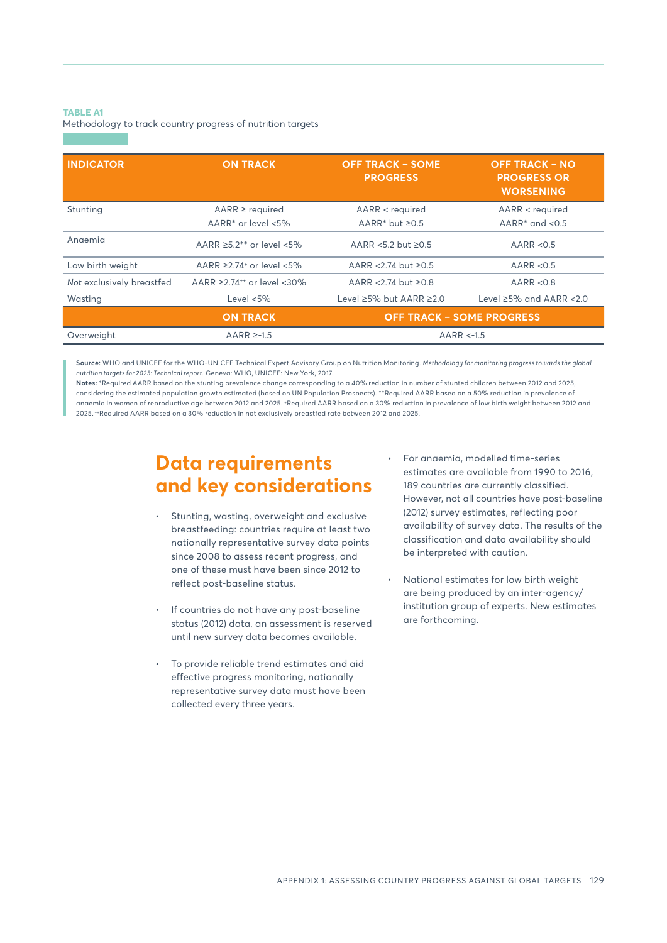#### **TABLE A1**

Methodology to track country progress of nutrition targets

| <b>INDICATOR</b>          | <b>ON TRACK</b>                              | <b>OFF TRACK - SOME</b><br><b>PROGRESS</b> | <b>OFF TRACK – NO</b><br><b>PROGRESS OR</b><br><b>WORSENING</b> |
|---------------------------|----------------------------------------------|--------------------------------------------|-----------------------------------------------------------------|
| Stunting                  | $AARR \ge$ required                          | AARR < required                            | AARR < required                                                 |
|                           | AARR* or level <5%                           | AARR* but $\geq$ 0.5                       | AARR $*$ and $< 0.5$                                            |
| Angemia                   | AARR $\geq$ 5.2** or level <5%               | $AARR < 5.2$ but $>0.5$                    | AARR $< 0.5$                                                    |
| Low birth weight          | AARR $\geq$ 2.74 <sup>+</sup> or level <5%   | AARR < 2.74 but ≥0.5                       | AARR < 0.5                                                      |
| Not exclusively breastfed | AARR $\geq$ 2.74 <sup>++</sup> or level <30% | AARR < 2.74 but $\geq$ 0.8                 | AARR < 0.8                                                      |
| Wasting                   | Level $< 5\%$                                | Level $\geq$ 5% but AARR $\geq$ 2.0        | Level $\geq$ 5% and AARR <2.0                                   |
|                           | <b>ON TRACK</b>                              | <b>OFF TRACK - SOME PROGRESS</b>           |                                                                 |
| Overweight                | AARR $\ge$ -1.5                              | $AARR < -1.5$                              |                                                                 |

**Source:** WHO and UNICEF for the WHO-UNICEF Technical Expert Advisory Group on Nutrition Monitoring. *Methodology for monitoring progress towards the global nutrition targets for 2025: Technical report*. Geneva: WHO, UNICEF: New York, 2017.

**Notes:** \*Required AARR based on the stunting prevalence change corresponding to a 40% reduction in number of stunted children between 2012 and 2025, considering the estimated population growth estimated (based on UN Population Prospects). \*\*Required AARR based on a 50% reduction in prevalence of anaemia in women of reproductive age between 2012 and 2025. +Required AARR based on a 30% reduction in prevalence of low birth weight between 2012 and 2025. ++Required AARR based on a 30% reduction in not exclusively breastfed rate between 2012 and 2025.

#### **Data requirements and key considerations**

- Stunting, wasting, overweight and exclusive breastfeeding: countries require at least two nationally representative survey data points since 2008 to assess recent progress, and one of these must have been since 2012 to reflect post-baseline status.
- If countries do not have any post-baseline status (2012) data, an assessment is reserved until new survey data becomes available.
- To provide reliable trend estimates and aid effective progress monitoring, nationally representative survey data must have been collected every three years.
- For anaemia, modelled time-series estimates are available from 1990 to 2016, 189 countries are currently classified. However, not all countries have post-baseline (2012) survey estimates, reflecting poor availability of survey data. The results of the classification and data availability should be interpreted with caution.
- National estimates for low birth weight are being produced by an inter-agency/ institution group of experts. New estimates are forthcoming.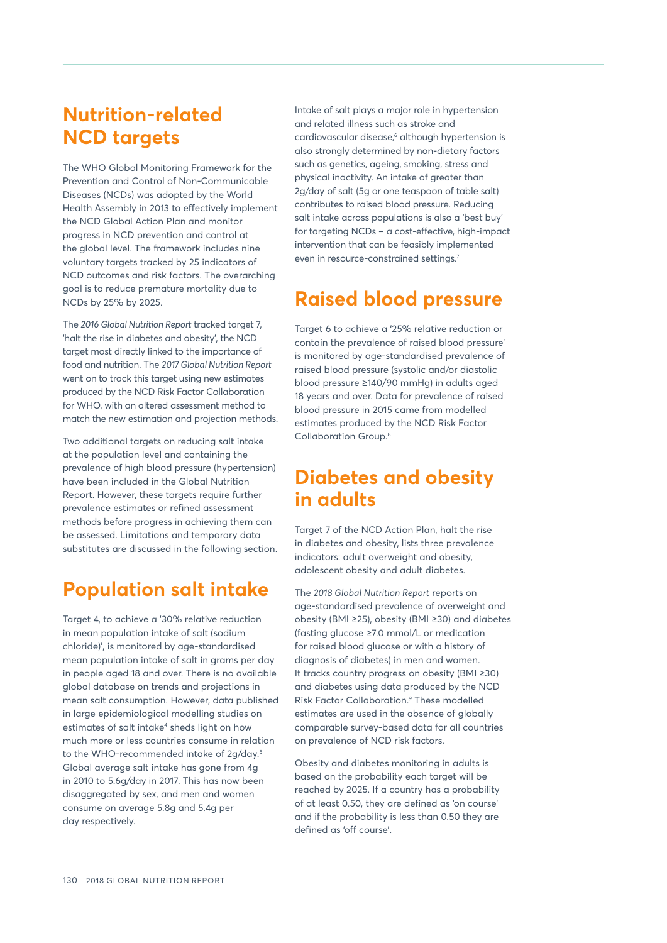#### **Nutrition-related NCD targets**

The WHO Global Monitoring Framework for the Prevention and Control of Non-Communicable Diseases (NCDs) was adopted by the World Health Assembly in 2013 to effectively implement the NCD Global Action Plan and monitor progress in NCD prevention and control at the global level. The framework includes nine voluntary targets tracked by 25 indicators of NCD outcomes and risk factors. The overarching goal is to reduce premature mortality due to NCDs by 25% by 2025.

The *2016 Global Nutrition Report* tracked target 7, 'halt the rise in diabetes and obesity', the NCD target most directly linked to the importance of food and nutrition. The *2017 Global Nutrition Report* went on to track this target using new estimates produced by the NCD Risk Factor Collaboration for WHO, with an altered assessment method to match the new estimation and projection methods.

Two additional targets on reducing salt intake at the population level and containing the prevalence of high blood pressure (hypertension) have been included in the Global Nutrition Report. However, these targets require further prevalence estimates or refined assessment methods before progress in achieving them can be assessed. Limitations and temporary data substitutes are discussed in the following section.

#### **Population salt intake**

Target 4, to achieve a '30% relative reduction in mean population intake of salt (sodium chloride)', is monitored by age-standardised mean population intake of salt in grams per day in people aged 18 and over. There is no available global database on trends and projections in mean salt consumption. However, data published in large epidemiological modelling studies on estimates of salt intake<sup>4</sup> sheds light on how much more or less countries consume in relation to the WHO-recommended intake of 2g/day.5 Global average salt intake has gone from 4g in 2010 to 5.6g/day in 2017. This has now been disaggregated by sex, and men and women consume on average 5.8g and 5.4g per day respectively.

Intake of salt plays a major role in hypertension and related illness such as stroke and cardiovascular disease,<sup>6</sup> although hypertension is also strongly determined by non-dietary factors such as genetics, ageing, smoking, stress and physical inactivity. An intake of greater than 2g/day of salt (5g or one teaspoon of table salt) contributes to raised blood pressure. Reducing salt intake across populations is also a 'best buy' for targeting NCDs – a cost-effective, high-impact intervention that can be feasibly implemented even in resource-constrained settings.<sup>7</sup>

#### **Raised blood pressure**

Target 6 to achieve a '25% relative reduction or contain the prevalence of raised blood pressure' is monitored by age-standardised prevalence of raised blood pressure (systolic and/or diastolic blood pressure ≥140/90 mmHg) in adults aged 18 years and over. Data for prevalence of raised blood pressure in 2015 came from modelled estimates produced by the NCD Risk Factor Collaboration Group.8

#### **Diabetes and obesity in adults**

Target 7 of the NCD Action Plan, halt the rise in diabetes and obesity, lists three prevalence indicators: adult overweight and obesity, adolescent obesity and adult diabetes.

The *2018 Global Nutrition Report* reports on age-standardised prevalence of overweight and obesity (BMI ≥25), obesity (BMI ≥30) and diabetes (fasting glucose ≥7.0 mmol/L or medication for raised blood glucose or with a history of diagnosis of diabetes) in men and women. It tracks country progress on obesity (BMI ≥30) and diabetes using data produced by the NCD Risk Factor Collaboration.9 These modelled estimates are used in the absence of globally comparable survey-based data for all countries on prevalence of NCD risk factors.

Obesity and diabetes monitoring in adults is based on the probability each target will be reached by 2025. If a country has a probability of at least 0.50, they are defined as 'on course' and if the probability is less than 0.50 they are defined as 'off course'.